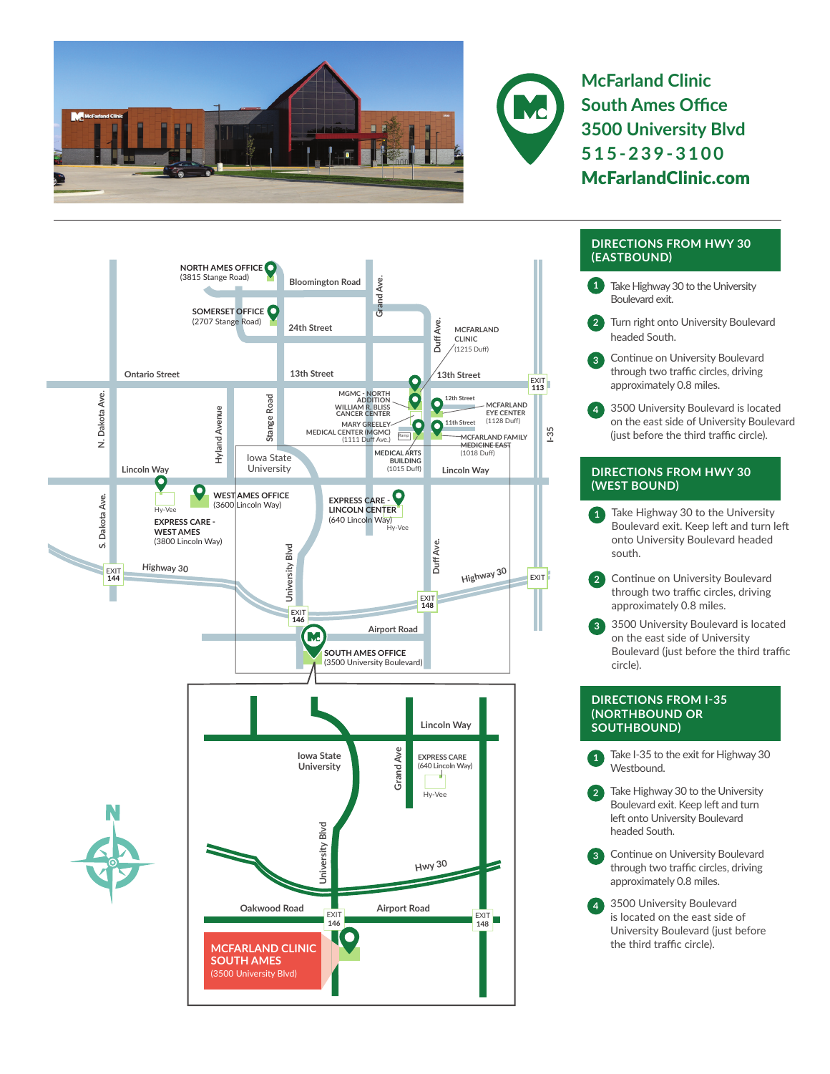



**McFarland Clinic South Ames Office 3500 University Blvd 515-239-3100** McFarlandClinic.com



## **DIRECTIONS FROM HWY 30 (EASTBOUND)**

- **1** Take Highway 30 to the University Boulevard exit.
- **2** Turn right onto University Boulevard headed South.
- **3** Continue on University Boulevard through two traffic circles, driving approximately 0.8 miles.
- **4** 3500 University Boulevard is located on the east side of University Boulevard (just before the third traffic circle).

## **DIRECTIONS FROM HWY 30 (WEST BOUND)**

- Take Highway 30 to the University Boulevard exit. Keep left and turn left onto University Boulevard headed south.
- **2** Continue on University Boulevard through two traffic circles, driving approximately 0.8 miles.
- **3** 3500 University Boulevard is located on the east side of University Boulevard (just before the third traffic circle).

## **DIRECTIONS FROM I-35 (NORTHBOUND OR SOUTHBOUND)**

- Take I-35 to the exit for Highway 30 Westbound.
- **2** Take Highway 30 to the University Boulevard exit. Keep left and turn left onto University Boulevard headed South.
- **3** Continue on University Boulevard through two traffic circles, driving approximately 0.8 miles.
- **4** 3500 University Boulevard is located on the east side of University Boulevard (just before the third traffic circle).